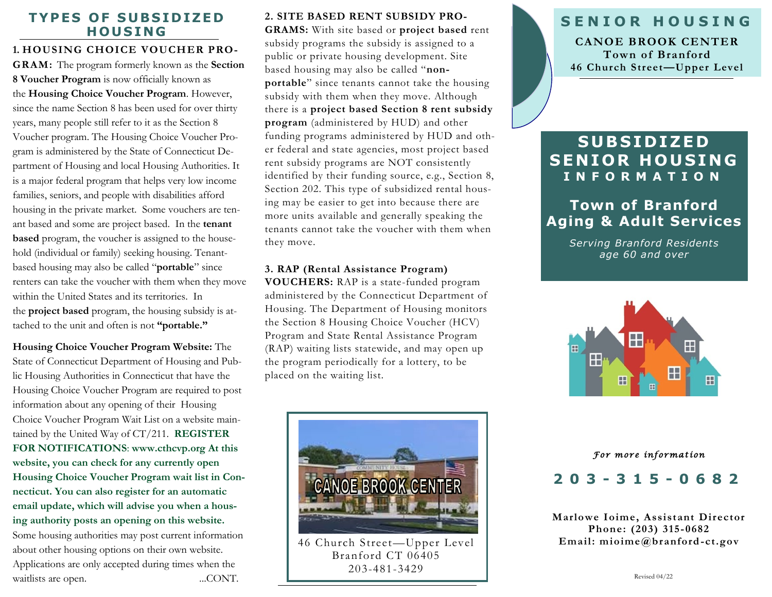#### **TYPES OF SUBSIDIZED H O U S I NG**

### **1. HOUSING CHOICE VOUCHER PRO-**

**GRAM:** The program formerly known as the **Section 8 Voucher Program** is now officially known as the **Housing Choice Voucher Program**. However, since the name Section 8 has been used for over thirty years, many people still refer to it as the Section 8 Voucher program. The Housing Choice Voucher Program is administered by the State of Connecticut Department of Housing and local Housing Authorities. It is a major federal program that helps very low income families, seniors, and people with disabilities afford housing in the private market. Some vouchers are tenant based and some are project based. In the **tenant based** program, the voucher is assigned to the household (individual or family) seeking housing. Tenantbased housing may also be called "**portable**" since renters can take the voucher with them when they move within the United States and its territories. In the **project based** program, the housing subsidy is attached to the unit and often is not **"portable."** 

**Housing Choice Voucher Program Website:** The State of Connecticut Department of Housing and Public Housing Authorities in Connecticut that have the Housing Choice Voucher Program are required to post information about any opening of their Housing Choice Voucher Program Wait List on a website maintained by the United Way of CT/211. **REGISTER FOR NOTIFICATIONS**: **[www.cthcvp.org At](http://www.cthcvp.org/) this website, you can check for any currently open Housing Choice Voucher Program wait list in Connecticut. You can also register for an automatic email update, which will advise you when a housing authority posts an opening on this website.**  Some housing authorities may post current information about other housing options on their own website. Applications are only accepted during times when the waitlists are open. ...CONT.

**2. SITE BASED RENT SUBSIDY PRO-GRAMS:** With site based or **project based** rent subsidy programs the subsidy is assigned to a public or private housing development. Site based housing may also be called "**nonportable**" since tenants cannot take the housing subsidy with them when they move. Although there is a **project based Section 8 rent subsidy program** (administered by HUD) and other funding programs administered by HUD and other federal and state agencies, most project based rent subsidy programs are NOT consistently identified by their funding source, e.g., Section 8, Section 202. This type of subsidized rental housing may be easier to get into because there are more units available and generally speaking the tenants cannot take the voucher with them when they move.

#### **3. RAP (Rental Assistance Program)**

**VOUCHERS:** RAP is a state-funded program administered by the Connecticut Department of Housing. The Department of Housing monitors the Section 8 Housing Choice Voucher (HCV) Program and State Rental Assistance Program (RAP) waiting lists statewide, and may open up the program periodically for a lottery, to be placed on the waiting list.



46 Church Street—Upper Level Branford CT 06405 203-481-3429

## **S E N I O R H O U S I N G**

**CANOE BROOK CENTER Town of Branford 46 Church Street—Upper Level** 

# **S U B S I D I Z E D SENIOR HOUSING I N F O R M A T I O N**

# **Town of Branford Aging & Adult Services**

*Serving Branford Residents age 60 and over*



#### *For more information*

## **203 - 315 - 0682**

**Marlowe Ioime, Assistant Director Phone: (203) 315-0682 Email: mioime@branford-ct.gov**